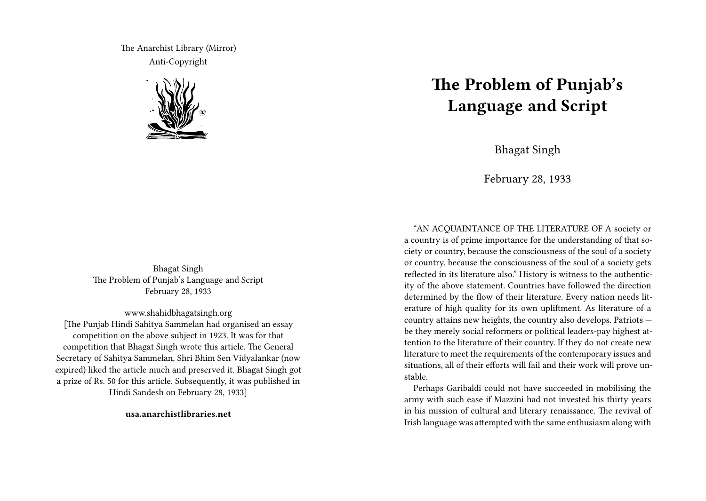The Anarchist Library (Mirror) Anti-Copyright



Bhagat Singh The Problem of Punjab's Language and Script February 28, 1933

www.shahidbhagatsingh.org [The Punjab Hindi Sahitya Sammelan had organised an essay competition on the above subject in 1923. It was for that competition that Bhagat Singh wrote this article. The General Secretary of Sahitya Sammelan, Shri Bhim Sen Vidyalankar (now expired) liked the article much and preserved it. Bhagat Singh got a prize of Rs. 50 for this article. Subsequently, it was published in Hindi Sandesh on February 28, 1933]

**usa.anarchistlibraries.net**

# **The Problem of Punjab's Language and Script**

Bhagat Singh

February 28, 1933

"AN ACQUAINTANCE OF THE LITERATURE OF A society or a country is of prime importance for the understanding of that society or country, because the consciousness of the soul of a society or country, because the consciousness of the soul of a society gets reflected in its literature also." History is witness to the authenticity of the above statement. Countries have followed the direction determined by the flow of their literature. Every nation needs literature of high quality for its own upliftment. As literature of a country attains new heights, the country also develops. Patriots be they merely social reformers or political leaders-pay highest attention to the literature of their country. If they do not create new literature to meet the requirements of the contemporary issues and situations, all of their efforts will fail and their work will prove unstable.

Perhaps Garibaldi could not have succeeded in mobilising the army with such ease if Mazzini had not invested his thirty years in his mission of cultural and literary renaissance. The revival of Irish language was attempted with the same enthusiasm along with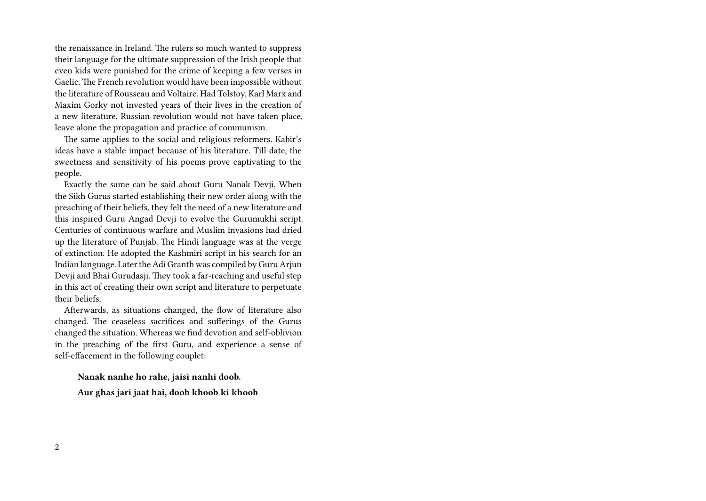the renaissance in Ireland. The rulers so much wanted to suppress their language for the ultimate suppression of the Irish people that even kids were punished for the crime of keeping a few verses in Gaelic. The French revolution would have been impossible without the literature of Rousseau and Voltaire. Had Tolstoy, Karl Marx and Maxim Gorky not invested years of their lives in the creation of a new literature, Russian revolution would not have taken place, leave alone the propagation and practice of communism.

The same applies to the social and religious reformers. Kabir's ideas have a stable impact because of his literature. Till date, the sweetness and sensitivity of his poems prove captivating to the people.

Exactly the same can be said about Guru Nanak Devji, When the Sikh Gurus started establishing their new order along with the preaching of their beliefs, they felt the need of a new literature and this inspired Guru Angad Devji to evolve the Gurumukhi script. Centuries of continuous warfare and Muslim invasions had dried up the literature of Punjab. The Hindi language was at the verge of extinction. He adopted the Kashmiri script in his search for an Indian language. Later the Adi Granth was compiled by Guru Arjun Devji and Bhai Gurudasji. They took a far-reaching and useful step in this act of creating their own script and literature to perpetuate their beliefs.

Afterwards, as situations changed, the flow of literature also changed. The ceaseless sacrifices and sufferings of the Gurus changed the situation. Whereas we find devotion and self-oblivion in the preaching of the first Guru, and experience a sense of self-effacement in the following couplet:

**Nanak nanhe ho rahe, jaisi nanhi doob.**

**Aur ghas jari jaat hai, doob khoob ki khoob**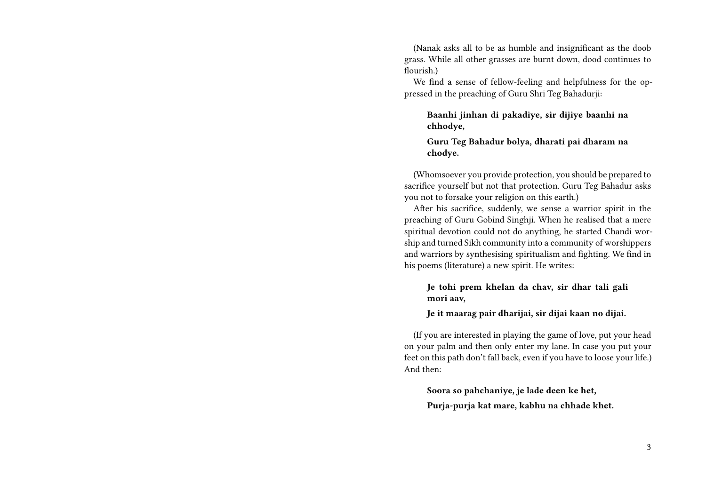(Nanak asks all to be as humble and insignificant as the doob grass. While all other grasses are burnt down, dood continues to flourish.)

We find a sense of fellow-feeling and helpfulness for the oppressed in the preaching of Guru Shri Teg Bahadurji:

**Baanhi jinhan di pakadiye, sir dijiye baanhi na chhodye,**

**Guru Teg Bahadur bolya, dharati pai dharam na chodye.**

(Whomsoever you provide protection, you should be prepared to sacrifice yourself but not that protection. Guru Teg Bahadur asks you not to forsake your religion on this earth.)

After his sacrifice, suddenly, we sense a warrior spirit in the preaching of Guru Gobind Singhji. When he realised that a mere spiritual devotion could not do anything, he started Chandi worship and turned Sikh community into a community of worshippers and warriors by synthesising spiritualism and fighting. We find in his poems (literature) a new spirit. He writes:

**Je tohi prem khelan da chav, sir dhar tali gali mori aav,**

**Je it maarag pair dharijai, sir dijai kaan no dijai.**

(If you are interested in playing the game of love, put your head on your palm and then only enter my lane. In case you put your feet on this path don't fall back, even if you have to loose your life.) And then:

**Soora so pahchaniye, je lade deen ke het, Purja-purja kat mare, kabhu na chhade khet.**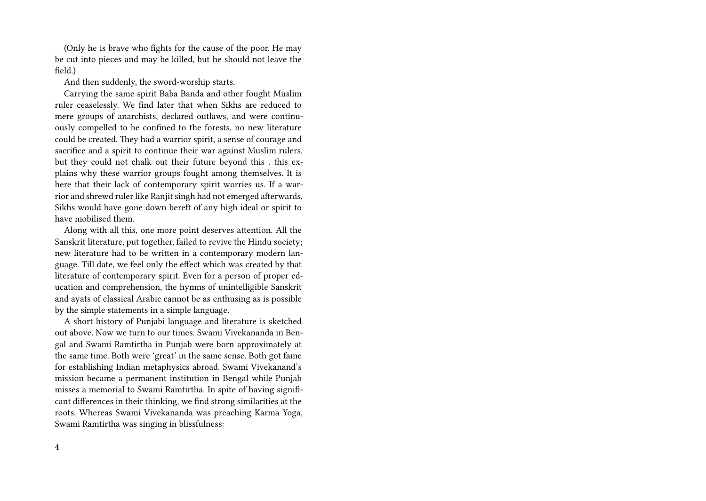(Only he is brave who fights for the cause of the poor. He may be cut into pieces and may be killed, but he should not leave the field.)

And then suddenly, the sword-worship starts.

Carrying the same spirit Baba Banda and other fought Muslim ruler ceaselessly. We find later that when Sikhs are reduced to mere groups of anarchists, declared outlaws, and were continuously compelled to be confined to the forests, no new literature could be created. They had a warrior spirit, a sense of courage and sacrifice and a spirit to continue their war against Muslim rulers, but they could not chalk out their future beyond this . this explains why these warrior groups fought among themselves. It is here that their lack of contemporary spirit worries us. If a warrior and shrewd ruler like Ranjit singh had not emerged afterwards, Sikhs would have gone down bereft of any high ideal or spirit to have mobilised them.

Along with all this, one more point deserves attention. All the Sanskrit literature, put together, failed to revive the Hindu society; new literature had to be written in a contemporary modern language. Till date, we feel only the effect which was created by that literature of contemporary spirit. Even for a person of proper education and comprehension, the hymns of unintelligible Sanskrit and ayats of classical Arabic cannot be as enthusing as is possible by the simple statements in a simple language.

A short history of Punjabi language and literature is sketched out above. Now we turn to our times. Swami Vivekananda in Bengal and Swami Ramtirtha in Punjab were born approximately at the same time. Both were 'great' in the same sense. Both got fame for establishing Indian metaphysics abroad. Swami Vivekanand's mission became a permanent institution in Bengal while Punjab misses a memorial to Swami Ramtirtha. In spite of having significant differences in their thinking, we find strong similarities at the roots. Whereas Swami Vivekananda was preaching Karma Yoga, Swami Ramtirtha was singing in blissfulness: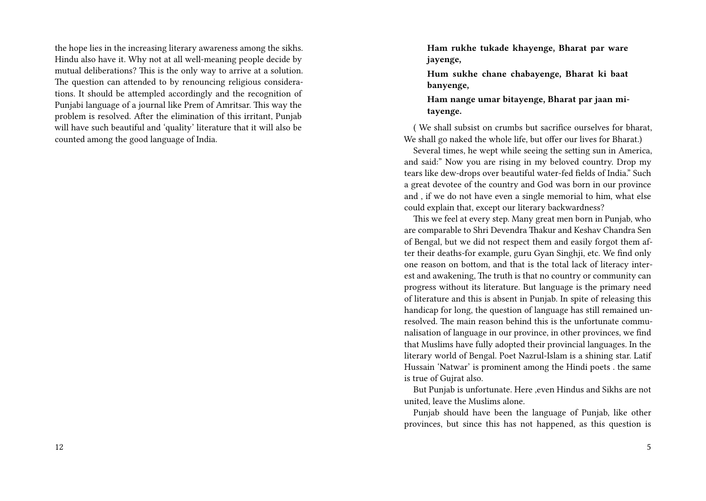the hope lies in the increasing literary awareness among the sikhs. Hindu also have it. Why not at all well-meaning people decide by mutual deliberations? This is the only way to arrive at a solution. The question can attended to by renouncing religious considerations. It should be attempled accordingly and the recognition of Punjabi language of a journal like Prem of Amritsar. This way the problem is resolved. After the elimination of this irritant, Punjab will have such beautiful and 'quality' literature that it will also be counted among the good language of India.

**Ham rukhe tukade khayenge, Bharat par ware jayenge,**

**Hum sukhe chane chabayenge, Bharat ki baat banyenge,**

**Ham nange umar bitayenge, Bharat par jaan mitayenge.**

( We shall subsist on crumbs but sacrifice ourselves for bharat, We shall go naked the whole life, but offer our lives for Bharat.)

Several times, he wept while seeing the setting sun in America, and said:" Now you are rising in my beloved country. Drop my tears like dew-drops over beautiful water-fed fields of India." Such a great devotee of the country and God was born in our province and , if we do not have even a single memorial to him, what else could explain that, except our literary backwardness?

This we feel at every step. Many great men born in Punjab, who are comparable to Shri Devendra Thakur and Keshav Chandra Sen of Bengal, but we did not respect them and easily forgot them after their deaths-for example, guru Gyan Singhji, etc. We find only one reason on bottom, and that is the total lack of literacy interest and awakening, The truth is that no country or community can progress without its literature. But language is the primary need of literature and this is absent in Punjab. In spite of releasing this handicap for long, the question of language has still remained unresolved. The main reason behind this is the unfortunate communalisation of language in our province, in other provinces, we find that Muslims have fully adopted their provincial languages. In the literary world of Bengal. Poet Nazrul-Islam is a shining star. Latif Hussain 'Natwar' is prominent among the Hindi poets . the same is true of Gujrat also.

But Punjab is unfortunate. Here ,even Hindus and Sikhs are not united, leave the Muslims alone.

Punjab should have been the language of Punjab, like other provinces, but since this has not happened, as this question is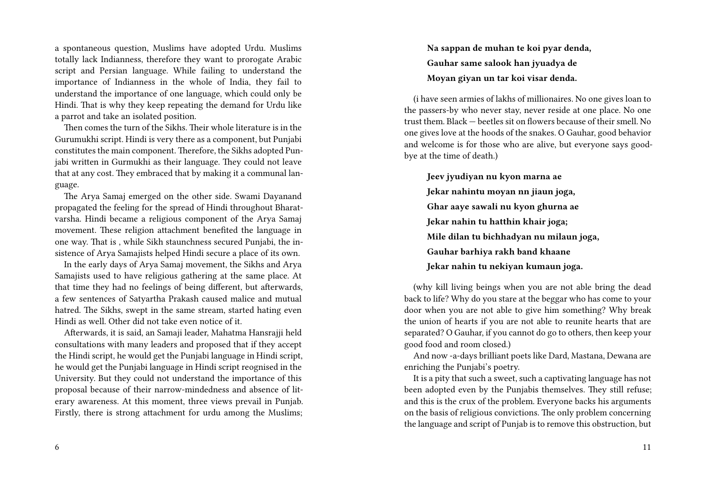a spontaneous question, Muslims have adopted Urdu. Muslims totally lack Indianness, therefore they want to prorogate Arabic script and Persian language. While failing to understand the importance of Indianness in the whole of India, they fail to understand the importance of one language, which could only be Hindi. That is why they keep repeating the demand for Urdu like a parrot and take an isolated position.

Then comes the turn of the Sikhs. Their whole literature is in the Gurumukhi script. Hindi is very there as a component, but Punjabi constitutes the main component. Therefore, the Sikhs adopted Punjabi written in Gurmukhi as their language. They could not leave that at any cost. They embraced that by making it a communal language.

The Arya Samaj emerged on the other side. Swami Dayanand propagated the feeling for the spread of Hindi throughout Bharatvarsha. Hindi became a religious component of the Arya Samaj movement. These religion attachment benefited the language in one way. That is , while Sikh staunchness secured Punjabi, the insistence of Arya Samajists helped Hindi secure a place of its own.

In the early days of Arya Samaj movement, the Sikhs and Arya Samajists used to have religious gathering at the same place. At that time they had no feelings of being different, but afterwards, a few sentences of Satyartha Prakash caused malice and mutual hatred. The Sikhs, swept in the same stream, started hating even Hindi as well. Other did not take even notice of it.

Afterwards, it is said, an Samaji leader, Mahatma Hansrajji held consultations with many leaders and proposed that if they accept the Hindi script, he would get the Punjabi language in Hindi script, he would get the Punjabi language in Hindi script reognised in the University. But they could not understand the importance of this proposal because of their narrow-mindedness and absence of literary awareness. At this moment, three views prevail in Punjab. Firstly, there is strong attachment for urdu among the Muslims; **Na sappan de muhan te koi pyar denda, Gauhar same salook han jyuadya de Moyan giyan un tar koi visar denda.**

(i have seen armies of lakhs of millionaires. No one gives loan to the passers-by who never stay, never reside at one place. No one trust them. Black — beetles sit on flowers because of their smell. No one gives love at the hoods of the snakes. O Gauhar, good behavior and welcome is for those who are alive, but everyone says goodbye at the time of death.)

**Jeev jyudiyan nu kyon marna ae Jekar nahintu moyan nn jiaun joga, Ghar aaye sawali nu kyon ghurna ae Jekar nahin tu hatthin khair joga; Mile dilan tu bichhadyan nu milaun joga, Gauhar barhiya rakh band khaane Jekar nahin tu nekiyan kumaun joga.**

(why kill living beings when you are not able bring the dead back to life? Why do you stare at the beggar who has come to your door when you are not able to give him something? Why break the union of hearts if you are not able to reunite hearts that are separated? O Gauhar, if you cannot do go to others, then keep your good food and room closed.)

And now -a-days brilliant poets like Dard, Mastana, Dewana are enriching the Punjabi's poetry.

It is a pity that such a sweet, such a captivating language has not been adopted even by the Punjabis themselves. They still refuse; and this is the crux of the problem. Everyone backs his arguments on the basis of religious convictions. The only problem concerning the language and script of Punjab is to remove this obstruction, but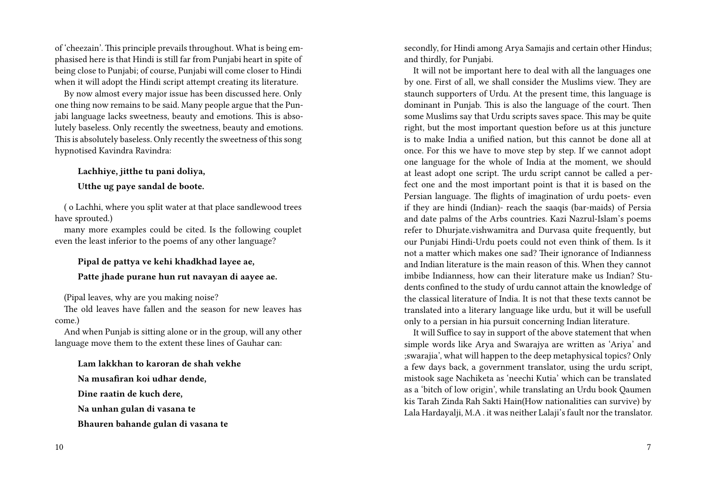of 'cheezain'. This principle prevails throughout. What is being emphasised here is that Hindi is still far from Punjabi heart in spite of being close to Punjabi; of course, Punjabi will come closer to Hindi when it will adopt the Hindi script attempt creating its literature.

By now almost every major issue has been discussed here. Only one thing now remains to be said. Many people argue that the Punjabi language lacks sweetness, beauty and emotions. This is absolutely baseless. Only recently the sweetness, beauty and emotions. This is absolutely baseless. Only recently the sweetness of this song hypnotised Kavindra Ravindra:

## **Lachhiye, jitthe tu pani doliya,**

#### **Utthe ug paye sandal de boote.**

( o Lachhi, where you split water at that place sandlewood trees have sprouted.)

many more examples could be cited. Is the following couplet even the least inferior to the poems of any other language?

## **Pipal de pattya ve kehi khadkhad layee ae,**

#### **Patte jhade purane hun rut navayan di aayee ae.**

(Pipal leaves, why are you making noise?

The old leaves have fallen and the season for new leaves has come.)

And when Punjab is sitting alone or in the group, will any other language move them to the extent these lines of Gauhar can:

**Lam lakkhan to karoran de shah vekhe**

**Na musafiran koi udhar dende,**

**Dine raatin de kuch dere,**

**Na unhan gulan di vasana te**

**Bhauren bahande gulan di vasana te**

secondly, for Hindi among Arya Samajis and certain other Hindus; and thirdly, for Punjabi.

It will not be important here to deal with all the languages one by one. First of all, we shall consider the Muslims view. They are staunch supporters of Urdu. At the present time, this language is dominant in Punjab. This is also the language of the court. Then some Muslims say that Urdu scripts saves space. This may be quite right, but the most important question before us at this juncture is to make India a unified nation, but this cannot be done all at once. For this we have to move step by step. If we cannot adopt one language for the whole of India at the moment, we should at least adopt one script. The urdu script cannot be called a perfect one and the most important point is that it is based on the Persian language. The flights of imagination of urdu poets- even if they are hindi (Indian)- reach the saaqis (bar-maids) of Persia and date palms of the Arbs countries. Kazi Nazrul-Islam's poems refer to Dhurjate.vishwamitra and Durvasa quite frequently, but our Punjabi Hindi-Urdu poets could not even think of them. Is it not a matter which makes one sad? Their ignorance of Indianness and Indian literature is the main reason of this. When they cannot imbibe Indianness, how can their literature make us Indian? Students confined to the study of urdu cannot attain the knowledge of the classical literature of India. It is not that these texts cannot be translated into a literary language like urdu, but it will be usefull only to a persian in hia pursuit concerning Indian literature.

It will Suffice to say in support of the above statement that when simple words like Arya and Swarajya are written as 'Ariya' and ;swarajia', what will happen to the deep metaphysical topics? Only a few days back, a government translator, using the urdu script, mistook sage Nachiketa as 'neechi Kutia' which can be translated as a 'bitch of low origin', while translating an Urdu book Qaumen kis Tarah Zinda Rah Sakti Hain(How nationalities can survive) by Lala Hardayalji, M.A . it was neither Lalaji's fault nor the translator.